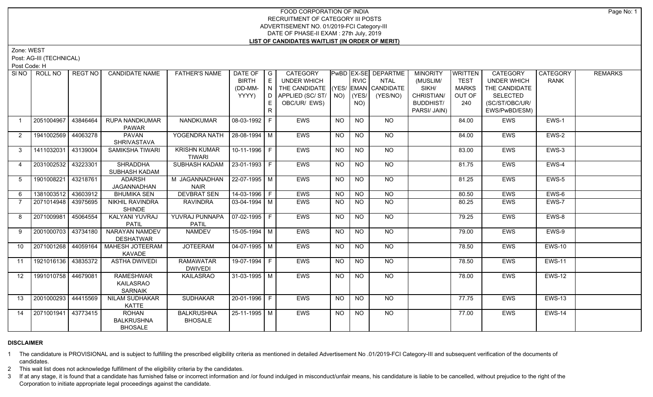# FOOD CORPORATION OF INDIA RECRUITMENT OF CATEGORY III POSTS ADVERTISEMENT NO. 01/2019-FCI Category-III DATE OF PHASE-II EXAM : 27th July, 2019 **LIST OF CANDIDATES WAITLIST (IN ORDER OF MERIT)**

Zone: WEST

Post: AG-III (TECHNICAL)

Post Code: H

|                | SINO   ROLL NO      | REGT NO  | <b>CANDIDATE NAME</b>                               | <b>FATHER'S NAME</b>                 | DATE OF              | $\overline{\phantom{a}}$ G | <b>CATEGORY</b>                    |           |                 | PwBD EX-SE DEPARTME | <b>MINORITY</b>  | WRITTEN      | CATEGORY           | CATEGORY      | <b>REMARKS</b> |
|----------------|---------------------|----------|-----------------------------------------------------|--------------------------------------|----------------------|----------------------------|------------------------------------|-----------|-----------------|---------------------|------------------|--------------|--------------------|---------------|----------------|
|                |                     |          |                                                     |                                      | <b>BIRTH</b>         | E                          | UNDER WHICH                        |           | <b>RVIC</b>     | <b>NTAL</b>         | (MUSLIM/         | <b>TEST</b>  | <b>UNDER WHICH</b> | <b>RANK</b>   |                |
|                |                     |          |                                                     |                                      | (DD-MM-              | N                          | THE CANDIDATE (YES/ EMAN CANDIDATE |           |                 |                     | SIKH/            | <b>MARKS</b> | THE CANDIDATE      |               |                |
|                |                     |          |                                                     |                                      | YYYY)                | D.                         | APPLIED (SC/ST/   NO)              |           | (YES/           | (YES/NO)            | CHRISTIAN/       | OUT OF       | <b>SELECTED</b>    |               |                |
|                |                     |          |                                                     |                                      |                      | E.                         | OBC/UR/ EWS)                       |           | NO)             |                     | <b>BUDDHIST/</b> | 240          | (SC/ST/OBC/UR/     |               |                |
|                |                     |          |                                                     |                                      |                      | $\mathsf{R}$               |                                    |           |                 |                     | PARSI/ JAIN)     |              | EWS/PwBD/ESM)      |               |                |
|                | 2051004967          | 43846464 | <b>RUPA NANDKUMAR</b><br><b>PAWAR</b>               | <b>NANDKUMAR</b>                     | 08-03-1992 F         |                            | <b>EWS</b>                         | NO.       | <b>NO</b>       | NO.                 |                  | 84.00        | <b>EWS</b>         | EWS-1         |                |
| 2              | 1941002569          | 44063278 | <b>PAVAN</b><br>SHRIVASTAVA                         | YOGENDRA NATH                        | 28-08-1994 M         |                            | <b>EWS</b>                         | <b>NO</b> | <b>NO</b>       | NO.                 |                  | 84.00        | EWS                | EWS-2         |                |
| $\mathbf{3}$   | 1411032031          | 43139004 | SAMIKSHA TIWARI                                     | <b>KRISHN KUMAR</b><br><b>TIWARI</b> | $10-11-1996$ F       |                            | <b>EWS</b>                         | <b>NO</b> | $\overline{NQ}$ | N <sub>O</sub>      |                  | 83.00        | EWS                | $EWS-3$       |                |
| 4              | 2031002532          | 43223301 | <b>SHRADDHA</b><br>SUBHASH KADAM                    | SUBHASH KADAM                        | $ 23-01-1993 F$      |                            | <b>EWS</b>                         | <b>NO</b> | <b>NO</b>       | NO                  |                  | 81.75        | EWS                | EWS-4         |                |
| -5             | 1901008221          | 43218761 | <b>ADARSH</b><br>JAGANNADHAN                        | M JAGANNADHAN<br><b>NAIR</b>         | $22-07-1995$ M       |                            | <b>EWS</b>                         | NO        | NO              | NO                  |                  | 81.25        | EWS                | EWS-5         |                |
| 6              | 1381003512          | 43603912 | <b>BHUMIKA SEN</b>                                  | <b>DEVBRAT SEN</b>                   | $14 - 03 - 1996$ F   |                            | <b>EWS</b>                         | NO        | NO              | N <sub>O</sub>      |                  | 80.50        | <b>EWS</b>         | EWS-6         |                |
| $\overline{7}$ | 2071014948          | 43975695 | NIKHIL RAVINDRA<br><b>SHINDE</b>                    | <b>RAVINDRA</b>                      | 03-04-1994 M         |                            | <b>EWS</b>                         | NO        | <b>NO</b>       | NO.                 |                  | 80.25        | EWS                | EWS-7         |                |
| 8              | 2071009981          | 45064554 | KALYANI YUVRAJ<br><b>PATIL</b>                      | YUVRAJ PUNNAPA<br><b>PATIL</b>       | $\vert$ 07-02-1995 F |                            | EWS                                | <b>NO</b> | <b>NO</b>       | NO                  |                  | 79.25        | EWS                | EWS-8         |                |
| 9              | 2001000703          | 43734180 | NARAYAN NAMDEV<br><b>DESHATWAR</b>                  | NAMDEV                               | $15-05-1994$ M       |                            | EWS                                | <b>NO</b> | <b>NO</b>       | NO                  |                  | 79.00        | EWS                | EWS-9         |                |
| 10             | 2071001268          |          | 44059164   MAHESH JOTEERAM<br>KAVADE                | <b>JOTEERAM</b>                      | $04-07-1995$ M       |                            | EWS                                | <b>NO</b> | <b>NO</b>       | NO                  |                  | 78.50        | EWS                | <b>EWS-10</b> |                |
| 11             | 1921016136          | 43835372 | <b>ASTHA DWIVEDI</b>                                | <b>RAMAWATAR</b><br><b>DWIVEDI</b>   | 19-07-1994 F         |                            | <b>EWS</b>                         | <b>NO</b> | <b>NO</b>       | NO.                 |                  | 78.50        | EWS                | <b>EWS-11</b> |                |
| 12             | 1991010758 44679081 |          | <b>RAMESHWAR</b><br>KAILASRAO<br><b>SARNAIK</b>     | <b>KAILASRAO</b>                     | 31-03-1995 M         |                            | <b>EWS</b>                         | NO        | <b>NO</b>       | NO                  |                  | 78.00        | EWS                | <b>EWS-12</b> |                |
| 13             | 2001000293          | 44415569 | <b>NILAM SUDHAKAR</b><br><b>KATTE</b>               | <b>SUDHAKAR</b>                      | 20-01-1996 F         |                            | <b>EWS</b>                         | NO        | NO.             | NO.                 |                  | 77.75        | EWS                | <b>EWS-13</b> |                |
| 14             | 2071001941          | 43773415 | <b>ROHAN</b><br><b>BALKRUSHNA</b><br><b>BHOSALE</b> | <b>BALKRUSHNA</b><br><b>BHOSALE</b>  | 25-11-1995   M       |                            | EWS                                | <b>NO</b> | NO              | NO                  |                  | 77.00        | EWS                | <b>EWS-14</b> |                |

# **DISCLAIMER**

1 The candidature is PROVISIONAL and is subject to fulfilling the prescribed eligibility criteria as mentioned in detailed Advertisement No .01/2019-FCI Category-III and subsequent verification of the documents of candidates.

2 This wait list does not acknowledge fulfillment of the eligibility criteria by the candidates.

3 If at any stage, it is found that a candidate has furnished false or incorrect information and /or found indulged in misconduct/unfair means, his candidature is liable to be cancelled, without prejudice to the right of t Corporation to initiate appropriate legal proceedings against the candidate.

Page No: 1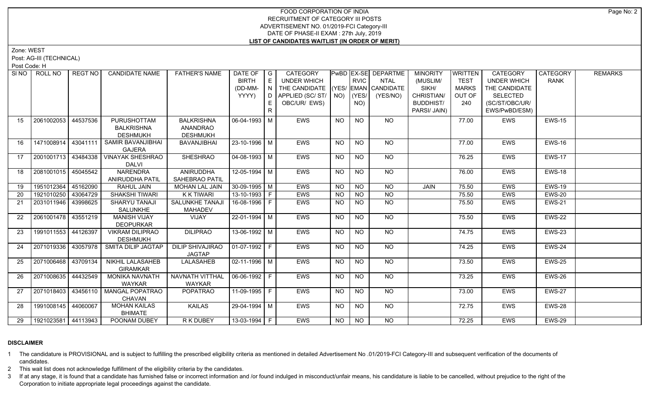# FOOD CORPORATION OF INDIA RECRUITMENT OF CATEGORY III POSTS ADVERTISEMENT NO. 01/2019-FCI Category-III DATE OF PHASE-II EXAM : 27th July, 2019 **LIST OF CANDIDATES WAITLIST (IN ORDER OF MERIT)**

Zone: WEST

Post: AG-III (TECHNICAL)

Post Code: H

| SI NO | ROLL NO               | <b>REGT NO</b> | <b>CANDIDATE NAME</b>                   | <b>FATHER'S NAME</b>    | DATE OF            | $\overline{\phantom{a}}$ G | CATEGORY               |           |             | PwBD EX-SE DEPARTME        | <b>MINORITY</b>  | WRITTEN      | CATEGORY           | <b>CATEGORY</b> | <b>REMARKS</b> |
|-------|-----------------------|----------------|-----------------------------------------|-------------------------|--------------------|----------------------------|------------------------|-----------|-------------|----------------------------|------------------|--------------|--------------------|-----------------|----------------|
|       |                       |                |                                         |                         | <b>BIRTH</b>       | E                          | UNDER WHICH            |           | <b>RVIC</b> | <b>NTAL</b>                | (MUSLIM/         | <b>TEST</b>  | <b>UNDER WHICH</b> | <b>RANK</b>     |                |
|       |                       |                |                                         |                         | (DD-MM-            | I N I                      | THE CANDIDATE          |           |             | $ YES/$ EMAN $ $ CANDIDATE | SIKH/            | <b>MARKS</b> | THE CANDIDATE      |                 |                |
|       |                       |                |                                         |                         | YYYY)              |                            | D APPLIED (SC/ ST/ NO) |           | $ $ (YES/   | (YES/NO)                   | CHRISTIAN/       | OUT OF       | <b>SELECTED</b>    |                 |                |
|       |                       |                |                                         |                         |                    | E.                         | OBC/UR/ EWS)           |           | NO)         |                            | <b>BUDDHIST/</b> | 240          | (SC/ST/OBC/UR/     |                 |                |
|       |                       |                |                                         |                         |                    | R                          |                        |           |             |                            | PARSI/ JAIN)     |              | EWS/PwBD/ESM)      |                 |                |
| 15    | 2061002053 44537536   |                | PURUSHOTTAM                             | <b>BALKRISHNA</b>       | 06-04-1993   M     |                            | EWS                    | <b>NO</b> | <b>NO</b>   | <b>NO</b>                  |                  | 77.00        | EWS                | <b>EWS-15</b>   |                |
|       |                       |                | <b>BALKRISHNA</b>                       | <b>ANANDRAO</b>         |                    |                            |                        |           |             |                            |                  |              |                    |                 |                |
|       |                       |                | <b>DESHMUKH</b>                         | <b>DESHMUKH</b>         |                    |                            |                        |           |             |                            |                  |              |                    |                 |                |
| 16    | 1471008914 43041111   |                | <b>SAMIR BAVANJIBHAI</b>                | <b>BAVANJIBHAI</b>      | 23-10-1996 M       |                            | <b>EWS</b>             | $N$ O     | $N$ O       | $N$ <sup>O</sup>           |                  | 77.00        | <b>EWS</b>         | <b>EWS-16</b>   |                |
|       |                       |                | <b>GAJERA</b>                           |                         |                    |                            |                        |           |             |                            |                  |              |                    |                 |                |
| 17    | 2001001713 43484338   |                | <b>VINAYAK SHESHRAO</b>                 | SHESHRAO                | $04 - 08 - 1993$ M |                            | <b>EWS</b>             | <b>NO</b> | <b>NO</b>   | NO                         |                  | 76.25        | <b>EWS</b>         | <b>EWS-17</b>   |                |
|       |                       |                | <b>DALVI</b>                            |                         |                    |                            |                        |           |             |                            |                  |              |                    |                 |                |
| 18    | 2081001015 45045542   |                | <b>NARENDRA</b>                         | <b>ANIRUDDHA</b>        | $12 - 05 - 1994$ M |                            | EWS                    | <b>NO</b> | <b>NO</b>   | <b>NO</b>                  |                  | 76.00        | EWS                | <b>EWS-18</b>   |                |
|       |                       |                | ANIRUDDHA PATIL                         | SAHEBRAO PATIL          |                    |                            |                        |           |             |                            |                  |              |                    |                 |                |
| 19    | 1951012364 45162090   |                | RAHUL JAIN                              | MOHAN LAL JAIN          | $30-09-1995$ M     |                            | EWS                    | <b>NO</b> | <b>NO</b>   | <b>NO</b>                  | JAIN             | 75.50        | EWS                | <b>EWS-19</b>   |                |
| 20    | 1921010250 43064729   |                | <b>SHAKSHI TIWARI</b>                   | <b>KKTIWARI</b>         | $13 - 10 - 1993$ F |                            | <b>EWS</b>             | <b>NO</b> | <b>NO</b>   | $\overline{NQ}$            |                  | 75.50        | EWS                | <b>EWS-20</b>   |                |
| 21    | 2031011946 43998625   |                | SHARYU TANAJI                           | <b>SALUNKHE TANAJI</b>  | $16-08-1996$ F     |                            | EWS                    | <b>NO</b> | <b>NO</b>   | $\overline{NQ}$            |                  | 75.50        | EWS                | <b>EWS-21</b>   |                |
|       |                       |                | SALUNKHE                                | <b>MAHADEV</b>          |                    |                            |                        |           |             |                            |                  |              |                    |                 |                |
| 22    | 2061001478 43551219   |                | <b>MANISH VIJAY</b>                     | VIJAY                   | 22-01-1994   M     |                            | <b>EWS</b>             | NO        | <b>NO</b>   | NO                         |                  | 75.50        | EWS                | EWS-22          |                |
|       |                       |                | <b>DEOPURKAR</b>                        |                         |                    |                            |                        |           |             |                            |                  |              |                    |                 |                |
| 23    | 1991011553 44126397   |                | <b>VIKRAM DILIPRAO</b>                  | <b>DILIPRAO</b>         | $13 - 06 - 1992$ M |                            | <b>EWS</b>             | <b>NO</b> | <b>NO</b>   | NO                         |                  | 74.75        | EWS                | EWS-23          |                |
|       |                       |                | <b>DESHMUKH</b>                         |                         |                    |                            |                        |           |             |                            |                  |              |                    |                 |                |
| 24    | 2071019336 43057978   |                | <b>SMITA DILIP JAGTAP</b>               | <b>DILIP SHIVAJIRAO</b> | $ 01-07-1992 F$    |                            | <b>EWS</b>             | <b>NO</b> | <b>NO</b>   | $N$ O                      |                  | 74.25        | EWS                | <b>EWS-24</b>   |                |
|       |                       |                |                                         | <b>JAGTAP</b>           |                    |                            |                        |           |             |                            |                  |              |                    |                 |                |
| 25    | 2071006468 43709134   |                | NIKHIL LALASAHEB                        | LALASAHEB               | 02-11-1996 M       |                            | EWS                    | <b>NO</b> | <b>NO</b>   | NO                         |                  | 73.50        | EWS                | EWS-25          |                |
|       |                       |                | <b>GIRAMKAR</b>                         |                         |                    |                            |                        |           |             |                            |                  |              |                    |                 |                |
| 26    | 2071008635            | 44432549       | <b>MONIKA NAVNATH</b>                   | NAVNATH VITTHAL         | $ 06-06-1992 F$    |                            | <b>EWS</b>             | <b>NO</b> | <b>NO</b>   | $\overline{NO}$            |                  | 73.25        | EWS                | EWS-26          |                |
|       |                       |                | <b>WAYKAR</b><br><b>MANGAL POPATRAO</b> | <b>WAYKAR</b>           | $11-09-1995$ F     |                            | <b>EWS</b>             |           |             | $\overline{NO}$            |                  |              | <b>EWS</b>         | <b>EWS-27</b>   |                |
| 27    | 2071018403   43456110 |                | CHAVAN                                  | <b>POPATRAO</b>         |                    |                            |                        | <b>NO</b> | <b>NO</b>   |                            |                  | 73.00        |                    |                 |                |
| 28    | 1991008145 44060067   |                | <b>MOHAN KAILAS</b>                     | <b>KAILAS</b>           | $29 - 04 - 1994$ M |                            | <b>EWS</b>             | <b>NO</b> | <b>NO</b>   | NO                         |                  | 72.75        | <b>EWS</b>         | <b>EWS-28</b>   |                |
|       |                       |                | <b>BHIMATE</b>                          |                         |                    |                            |                        |           |             |                            |                  |              |                    |                 |                |
| 29    | 1921023581 44113943   |                | POONAM DUBEY                            | <b>RK DUBEY</b>         | $13-03-1994$ F     |                            | <b>EWS</b>             | NO        | NO          | NO                         |                  | 72.25        | <b>EWS</b>         | <b>EWS-29</b>   |                |
|       |                       |                |                                         |                         |                    |                            |                        |           |             |                            |                  |              |                    |                 |                |

# **DISCLAIMER**

1 The candidature is PROVISIONAL and is subject to fulfilling the prescribed eligibility criteria as mentioned in detailed Advertisement No .01/2019-FCI Category-III and subsequent verification of the documents of candidates.

2 This wait list does not acknowledge fulfillment of the eligibility criteria by the candidates.

3 If at any stage, it is found that a candidate has furnished false or incorrect information and /or found indulged in misconduct/unfair means, his candidature is liable to be cancelled, without prejudice to the right of t Corporation to initiate appropriate legal proceedings against the candidate.

Page No: 2